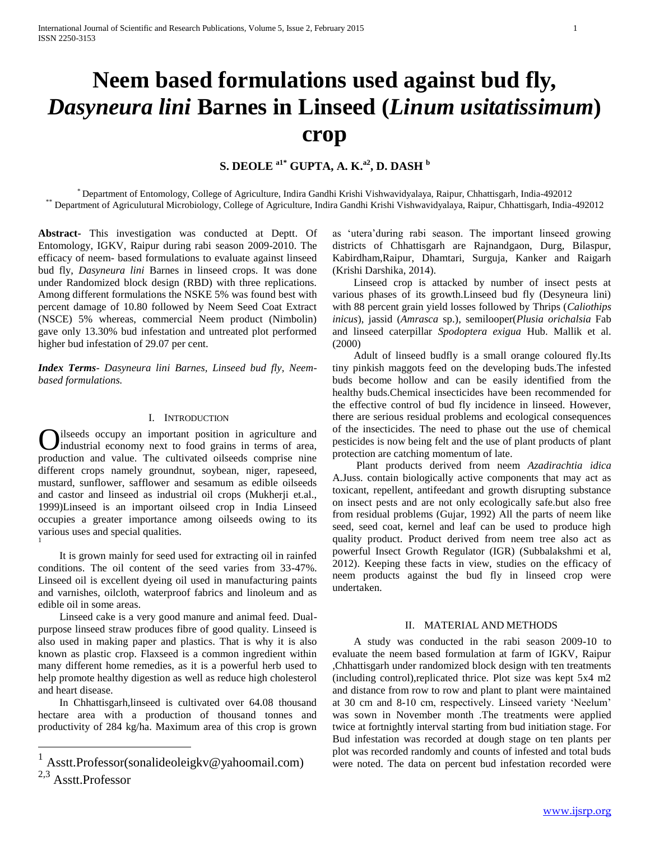# **Neem based formulations used against bud fly,**  *Dasyneura lini* **Barnes in Linseed (***Linum usitatissimum***) crop**

# **S. DEOLE a1\* GUPTA, A. K.a2, D. DASH <sup>b</sup>**

\* Department of Entomology, College of Agriculture, Indira Gandhi Krishi Vishwavidyalaya, Raipur, Chhattisgarh, India-492012 \*\* Department of Agriculutural Microbiology, College of Agriculture, Indira Gandhi Krishi Vishwavidyalaya, Raipur, Chhattisgarh, India-492012

**Abstract-** This investigation was conducted at Deptt. Of Entomology, IGKV, Raipur during rabi season 2009-2010. The efficacy of neem- based formulations to evaluate against linseed bud fly, *Dasyneura lini* Barnes in linseed crops. It was done under Randomized block design (RBD) with three replications. Among different formulations the NSKE 5% was found best with percent damage of 10.80 followed by Neem Seed Coat Extract (NSCE) 5% whereas, commercial Neem product (Nimbolin) gave only 13.30% bud infestation and untreated plot performed higher bud infestation of 29.07 per cent.

*Index Terms*- *Dasyneura lini Barnes, Linseed bud fly, Neembased formulations.*

#### I. INTRODUCTION

ilseeds occupy an important position in agriculture and industrial economy next to food grains in terms of area, **C** ilseeds occupy an important position in agriculture and industrial economy next to food grains in terms of area, production and value. The cultivated oilseeds comprise nine different crops namely groundnut, soybean, niger, rapeseed, mustard, sunflower, safflower and sesamum as edible oilseeds and castor and linseed as industrial oil crops (Mukherji et.al., 1999)Linseed is an important oilseed crop in India Linseed occupies a greater importance among oilseeds owing to its various uses and special qualities. 1

 It is grown mainly for seed used for extracting oil in rainfed conditions. The oil content of the seed varies from 33-47%. Linseed oil is excellent dyeing oil used in manufacturing paints and varnishes, oilcloth, waterproof fabrics and linoleum and as edible oil in some areas.

 Linseed cake is a very good manure and animal feed. Dualpurpose linseed straw produces fibre of good quality. Linseed is also used in making paper and plastics. That is why it is also known as plastic crop. Flaxseed is a common ingredient within many different home remedies, as it is a powerful herb used to help promote healthy digestion as well as reduce high cholesterol and heart disease.

 In Chhattisgarh,linseed is cultivated over 64.08 thousand hectare area with a production of thousand tonnes and productivity of 284 kg/ha. Maximum area of this crop is grown

 $\overline{a}$ 

as 'utera'during rabi season. The important linseed growing districts of Chhattisgarh are Rajnandgaon, Durg, Bilaspur, Kabirdham,Raipur, Dhamtari, Surguja, Kanker and Raigarh (Krishi Darshika, 2014).

 Linseed crop is attacked by number of insect pests at various phases of its growth.Linseed bud fly (Desyneura lini) with 88 percent grain yield losses followed by Thrips (*Caliothips inicus*), jassid (*Amrasca* sp.), semilooper(*Plusia orichalsia* Fab and linseed caterpillar *Spodoptera exigua* Hub. Mallik et al. (2000)

 Adult of linseed budfly is a small orange coloured fly.Its tiny pinkish maggots feed on the developing buds.The infested buds become hollow and can be easily identified from the healthy buds.Chemical insecticides have been recommended for the effective control of bud fly incidence in linseed. However, there are serious residual problems and ecological consequences of the insecticides. The need to phase out the use of chemical pesticides is now being felt and the use of plant products of plant protection are catching momentum of late.

 Plant products derived from neem *Azadirachtia idica* A.Juss. contain biologically active components that may act as toxicant, repellent, antifeedant and growth disrupting substance on insect pests and are not only ecologically safe.but also free from residual problems (Gujar, 1992) All the parts of neem like seed, seed coat, kernel and leaf can be used to produce high quality product. Product derived from neem tree also act as powerful Insect Growth Regulator (IGR) (Subbalakshmi et al, 2012). Keeping these facts in view, studies on the efficacy of neem products against the bud fly in linseed crop were undertaken.

#### II. MATERIAL AND METHODS

 A study was conducted in the rabi season 2009-10 to evaluate the neem based formulation at farm of IGKV, Raipur ,Chhattisgarh under randomized block design with ten treatments (including control),replicated thrice. Plot size was kept 5x4 m2 and distance from row to row and plant to plant were maintained at 30 cm and 8-10 cm, respectively. Linseed variety 'Neelum' was sown in November month .The treatments were applied twice at fortnightly interval starting from bud initiation stage. For Bud infestation was recorded at dough stage on ten plants per plot was recorded randomly and counts of infested and total buds were noted. The data on percent bud infestation recorded were

<sup>1</sup> Asstt.Professor(sonalideoleigkv@yahoomail.com)

<sup>2,3</sup> Asstt.Professor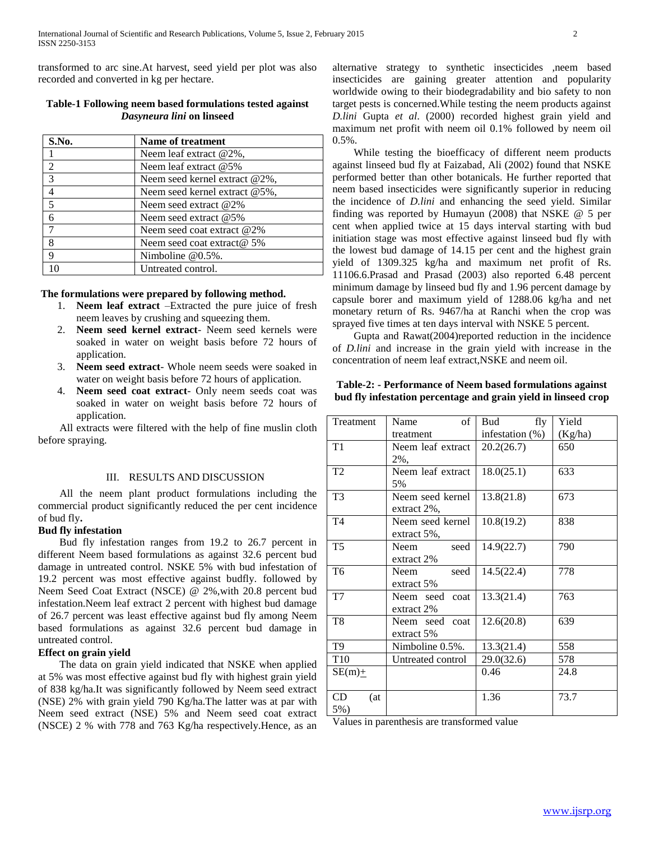transformed to arc sine.At harvest, seed yield per plot was also recorded and converted in kg per hectare.

## **Table-1 Following neem based formulations tested against**  *Dasyneura lini* **on linseed**

| S.No.          | Name of treatment                 |  |  |
|----------------|-----------------------------------|--|--|
|                | Neem leaf extract $@2\%$ ,        |  |  |
| 2              | Neem leaf extract $@5\%$          |  |  |
| $\overline{3}$ | Neem seed kernel extract @2%,     |  |  |
| $\overline{4}$ | Neem seed kernel extract $@5\%$ . |  |  |
| $\overline{5}$ | Neem seed extract $@2\%$          |  |  |
| 6              | Neem seed extract $@5\%$          |  |  |
| 7              | Neem seed coat extract @2%        |  |  |
| 8              | Neem seed coat extract $@$ 5%     |  |  |
| q              | Nimboline $@0.5\%$ .              |  |  |
|                | Untreated control.                |  |  |

#### **The formulations were prepared by following method.**

- 1. **Neem leaf extract** –Extracted the pure juice of fresh neem leaves by crushing and squeezing them.
- 2. **Neem seed kernel extract** Neem seed kernels were soaked in water on weight basis before 72 hours of application.
- 3. **Neem seed extract** Whole neem seeds were soaked in water on weight basis before 72 hours of application.
- 4. **Neem seed coat extract** Only neem seeds coat was soaked in water on weight basis before 72 hours of application.

 All extracts were filtered with the help of fine muslin cloth before spraying.

#### III. RESULTS AND DISCUSSION

 All the neem plant product formulations including the commercial product significantly reduced the per cent incidence of bud fly**.** 

#### **Bud fly infestation**

 Bud fly infestation ranges from 19.2 to 26.7 percent in different Neem based formulations as against 32.6 percent bud damage in untreated control. NSKE 5% with bud infestation of 19.2 percent was most effective against budfly. followed by Neem Seed Coat Extract (NSCE) @ 2%,with 20.8 percent bud infestation.Neem leaf extract 2 percent with highest bud damage of 26.7 percent was least effective against bud fly among Neem based formulations as against 32.6 percent bud damage in untreated control.

#### **Effect on grain yield**

 The data on grain yield indicated that NSKE when applied at 5% was most effective against bud fly with highest grain yield of 838 kg/ha.It was significantly followed by Neem seed extract (NSE) 2% with grain yield 790 Kg/ha.The latter was at par with Neem seed extract (NSE) 5% and Neem seed coat extract (NSCE) 2 % with 778 and 763 Kg/ha respectively.Hence, as an alternative strategy to synthetic insecticides ,neem based insecticides are gaining greater attention and popularity worldwide owing to their biodegradability and bio safety to non target pests is concerned.While testing the neem products against *D.lini* Gupta *et al*. (2000) recorded highest grain yield and maximum net profit with neem oil 0.1% followed by neem oil 0.5%.

 While testing the bioefficacy of different neem products against linseed bud fly at Faizabad, Ali (2002) found that NSKE performed better than other botanicals. He further reported that neem based insecticides were significantly superior in reducing the incidence of *D.lini* and enhancing the seed yield. Similar finding was reported by Humayun (2008) that NSKE @ 5 per cent when applied twice at 15 days interval starting with bud initiation stage was most effective against linseed bud fly with the lowest bud damage of 14.15 per cent and the highest grain yield of 1309.325 kg/ha and maximum net profit of Rs. 11106.6.Prasad and Prasad (2003) also reported 6.48 percent minimum damage by linseed bud fly and 1.96 percent damage by capsule borer and maximum yield of 1288.06 kg/ha and net monetary return of Rs. 9467/ha at Ranchi when the crop was sprayed five times at ten days interval with NSKE 5 percent.

 Gupta and Rawat(2004)reported reduction in the incidence of *D.lini* and increase in the grain yield with increase in the concentration of neem leaf extract,NSKE and neem oil.

### **Table-2: - Performance of Neem based formulations against bud fly infestation percentage and grain yield in linseed crop**

| Treatment      | of<br>Name        | fly<br>Bud         | Yield   |
|----------------|-------------------|--------------------|---------|
|                | treatment         | infestation $(\%)$ | (Kg/ha) |
| T <sub>1</sub> | Neem leaf extract | 20.2(26.7)         | 650     |
|                | 2%,               |                    |         |
| T <sub>2</sub> | Neem leaf extract | 18.0(25.1)         | 633     |
|                | 5%                |                    |         |
| T <sub>3</sub> | Neem seed kernel  | 13.8(21.8)         | 673     |
|                | extract 2%,       |                    |         |
| T <sub>4</sub> | Neem seed kernel  | 10.8(19.2)         | 838     |
|                | extract $5\%$ ,   |                    |         |
| T <sub>5</sub> | Neem<br>seed      | 14.9(22.7)         | 790     |
|                | extract 2%        |                    |         |
| T <sub>6</sub> | seed<br>Neem      | 14.5(22.4)         | 778     |
|                | extract 5%        |                    |         |
| T7             | Neem seed<br>coat | 13.3(21.4)         | 763     |
|                | extract 2%        |                    |         |
| T <sub>8</sub> | Neem seed coat    | 12.6(20.8)         | 639     |
|                | extract 5%        |                    |         |
| T <sub>9</sub> | Nimboline 0.5%.   | 13.3(21.4)         | 558     |
| T10            | Untreated control |                    | 578     |
| $SE(m)$ +      |                   | 0.46               | 24.8    |
|                |                   |                    |         |
| CD<br>(at      |                   | 1.36               | 73.7    |
| $5%$ )         |                   |                    |         |

Values in parenthesis are transformed value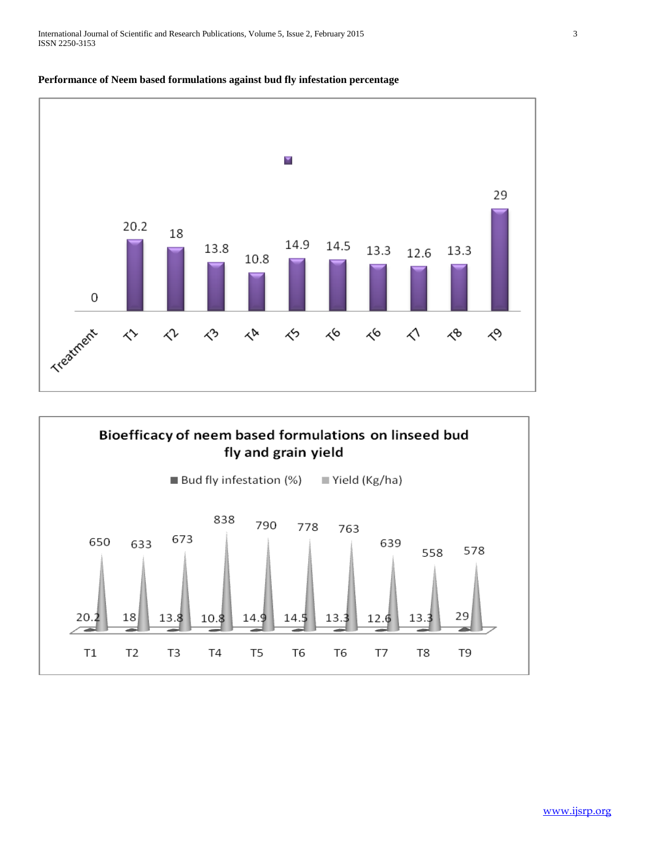

# **Performance of Neem based formulations against bud fly infestation percentage**